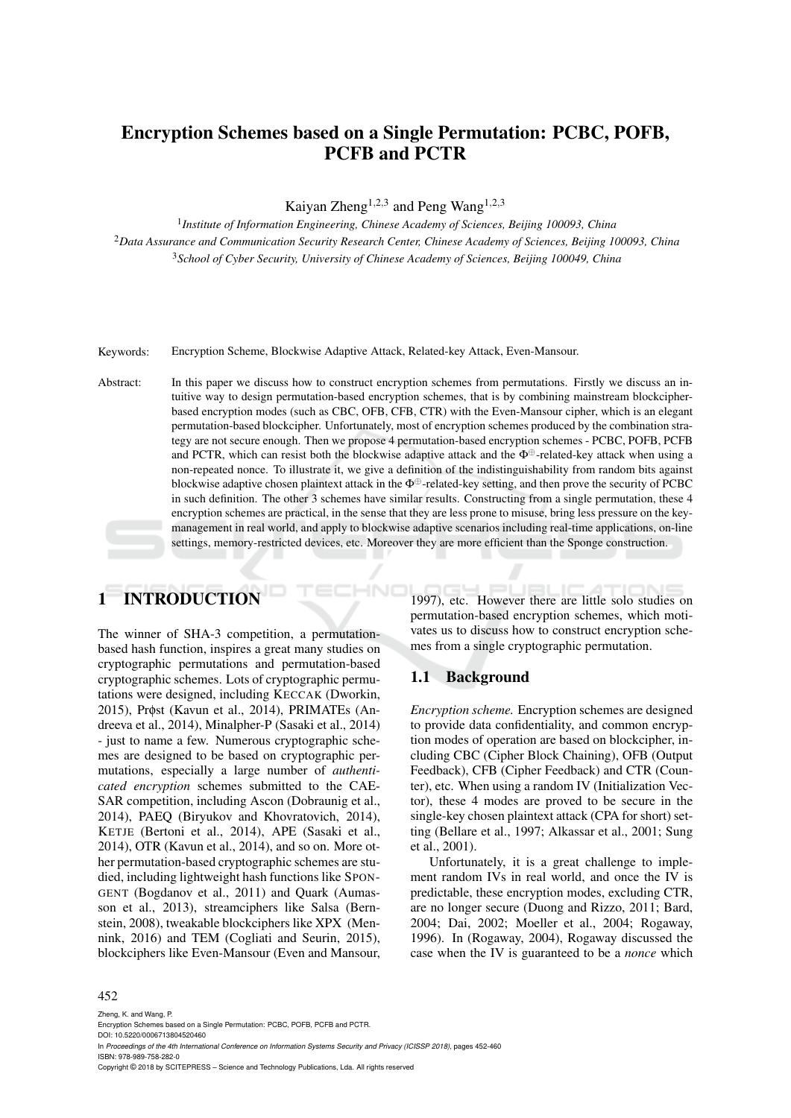## Encryption Schemes based on a Single Permutation: PCBC, POFB, PCFB and PCTR

Kaiyan Zheng<sup>1,2,3</sup> and Peng Wang<sup>1,2,3</sup>

1 *Institute of Information Engineering, Chinese Academy of Sciences, Beijing 100093, China* <sup>2</sup>*Data Assurance and Communication Security Research Center, Chinese Academy of Sciences, Beijing 100093, China* <sup>3</sup>*School of Cyber Security, University of Chinese Academy of Sciences, Beijing 100049, China*

Keywords: Encryption Scheme, Blockwise Adaptive Attack, Related-key Attack, Even-Mansour.

Abstract: In this paper we discuss how to construct encryption schemes from permutations. Firstly we discuss an intuitive way to design permutation-based encryption schemes, that is by combining mainstream blockcipherbased encryption modes (such as CBC, OFB, CFB, CTR) with the Even-Mansour cipher, which is an elegant permutation-based blockcipher. Unfortunately, most of encryption schemes produced by the combination strategy are not secure enough. Then we propose 4 permutation-based encryption schemes - PCBC, POFB, PCFB and PCTR, which can resist both the blockwise adaptive attack and the  $\Phi^{\oplus}$ -related-key attack when using a non-repeated nonce. To illustrate it, we give a definition of the indistinguishability from random bits against blockwise adaptive chosen plaintext attack in the  $\Phi^{\oplus}$ -related-key setting, and then prove the security of PCBC in such definition. The other 3 schemes have similar results. Constructing from a single permutation, these 4 encryption schemes are practical, in the sense that they are less prone to misuse, bring less pressure on the keymanagement in real world, and apply to blockwise adaptive scenarios including real-time applications, on-line settings, memory-restricted devices, etc. Moreover they are more efficient than the Sponge construction.

# 1 INTRODUCTION

The winner of SHA-3 competition, a permutationbased hash function, inspires a great many studies on cryptographic permutations and permutation-based cryptographic schemes. Lots of cryptographic permutations were designed, including KECCAK (Dworkin, 2015), Prφst (Kavun et al., 2014), PRIMATEs (Andreeva et al., 2014), Minalpher-P (Sasaki et al., 2014) - just to name a few. Numerous cryptographic schemes are designed to be based on cryptographic permutations, especially a large number of *authenticated encryption* schemes submitted to the CAE-SAR competition, including Ascon (Dobraunig et al., 2014), PAEQ (Biryukov and Khovratovich, 2014), KETJE (Bertoni et al., 2014), APE (Sasaki et al., 2014), OTR (Kavun et al., 2014), and so on. More other permutation-based cryptographic schemes are studied, including lightweight hash functions like SPON-GENT (Bogdanov et al., 2011) and Quark (Aumasson et al., 2013), streamciphers like Salsa (Bernstein, 2008), tweakable blockciphers like XPX (Mennink, 2016) and TEM (Cogliati and Seurin, 2015), blockciphers like Even-Mansour (Even and Mansour,

1997), etc. However there are little solo studies on permutation-based encryption schemes, which motivates us to discuss how to construct encryption schemes from a single cryptographic permutation.

### 1.1 Background

*Encryption scheme.* Encryption schemes are designed to provide data confidentiality, and common encryption modes of operation are based on blockcipher, including CBC (Cipher Block Chaining), OFB (Output Feedback), CFB (Cipher Feedback) and CTR (Counter), etc. When using a random IV (Initialization Vector), these 4 modes are proved to be secure in the single-key chosen plaintext attack (CPA for short) setting (Bellare et al., 1997; Alkassar et al., 2001; Sung et al., 2001).

Unfortunately, it is a great challenge to implement random IVs in real world, and once the IV is predictable, these encryption modes, excluding CTR, are no longer secure (Duong and Rizzo, 2011; Bard, 2004; Dai, 2002; Moeller et al., 2004; Rogaway, 1996). In (Rogaway, 2004), Rogaway discussed the case when the IV is guaranteed to be a *nonce* which

#### 452

Copyright © 2018 by SCITEPRESS – Science and Technology Publications, Lda. All rights reserved

Zheng, K. and Wang, P. Encryption Schemes based on a Single Permutation: PCBC, POFB, PCFB and PCTR. DOI: 10.5220/0006713804520460

In *Proceedings of the 4th International Conference on Information Systems Security and Privacy (ICISSP 2018)*, pages 452-460 ISBN: 978-989-758-282-0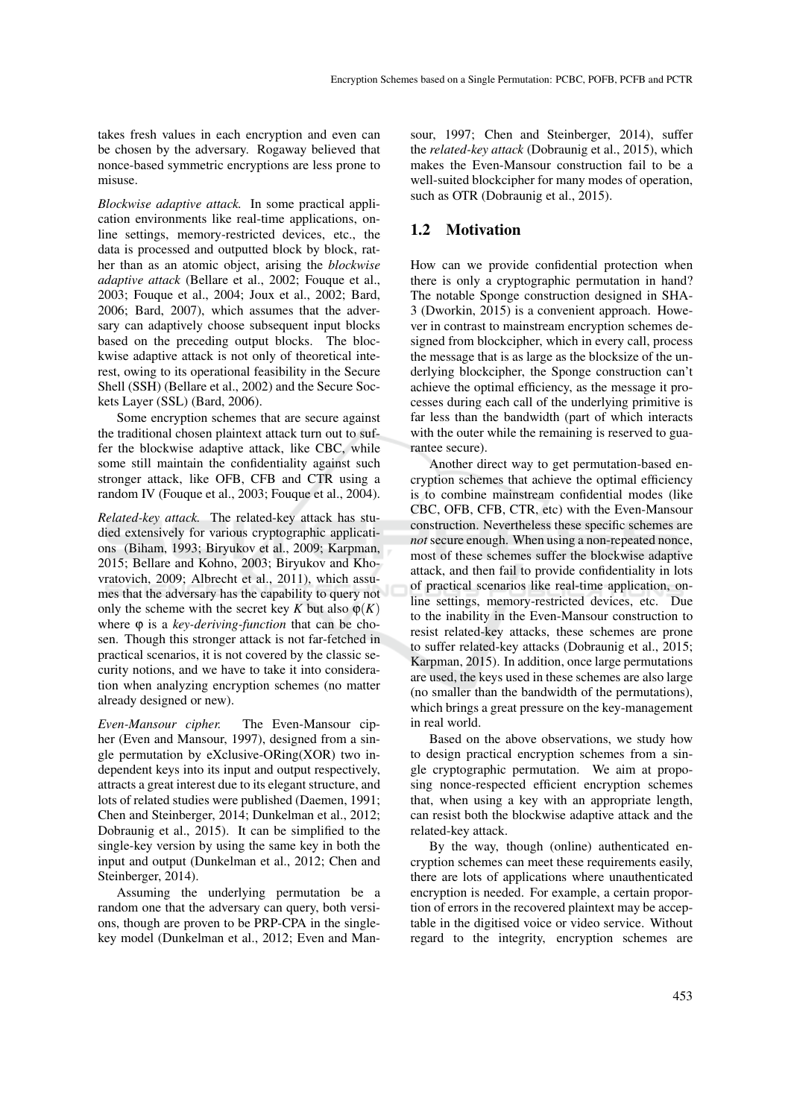takes fresh values in each encryption and even can be chosen by the adversary. Rogaway believed that nonce-based symmetric encryptions are less prone to misuse.

*Blockwise adaptive attack.* In some practical application environments like real-time applications, online settings, memory-restricted devices, etc., the data is processed and outputted block by block, rather than as an atomic object, arising the *blockwise adaptive attack* (Bellare et al., 2002; Fouque et al., 2003; Fouque et al., 2004; Joux et al., 2002; Bard, 2006; Bard, 2007), which assumes that the adversary can adaptively choose subsequent input blocks based on the preceding output blocks. The blockwise adaptive attack is not only of theoretical interest, owing to its operational feasibility in the Secure Shell (SSH) (Bellare et al., 2002) and the Secure Sockets Layer (SSL) (Bard, 2006).

Some encryption schemes that are secure against the traditional chosen plaintext attack turn out to suffer the blockwise adaptive attack, like CBC, while some still maintain the confidentiality against such stronger attack, like OFB, CFB and CTR using a random IV (Fouque et al., 2003; Fouque et al., 2004).

*Related-key attack.* The related-key attack has studied extensively for various cryptographic applications (Biham, 1993; Biryukov et al., 2009; Karpman, 2015; Bellare and Kohno, 2003; Biryukov and Khovratovich, 2009; Albrecht et al., 2011), which assumes that the adversary has the capability to query not only the scheme with the secret key *K* but also  $\varphi(K)$ where ϕ is a *key-deriving-function* that can be chosen. Though this stronger attack is not far-fetched in practical scenarios, it is not covered by the classic security notions, and we have to take it into consideration when analyzing encryption schemes (no matter already designed or new).

*Even-Mansour cipher.* The Even-Mansour cipher (Even and Mansour, 1997), designed from a single permutation by eXclusive-ORing(XOR) two independent keys into its input and output respectively, attracts a great interest due to its elegant structure, and lots of related studies were published (Daemen, 1991; Chen and Steinberger, 2014; Dunkelman et al., 2012; Dobraunig et al., 2015). It can be simplified to the single-key version by using the same key in both the input and output (Dunkelman et al., 2012; Chen and Steinberger, 2014).

Assuming the underlying permutation be a random one that the adversary can query, both versions, though are proven to be PRP-CPA in the singlekey model (Dunkelman et al., 2012; Even and Man-

sour, 1997; Chen and Steinberger, 2014), suffer the *related-key attack* (Dobraunig et al., 2015), which makes the Even-Mansour construction fail to be a well-suited blockcipher for many modes of operation, such as OTR (Dobraunig et al., 2015).

#### 1.2 Motivation

How can we provide confidential protection when there is only a cryptographic permutation in hand? The notable Sponge construction designed in SHA-3 (Dworkin, 2015) is a convenient approach. However in contrast to mainstream encryption schemes designed from blockcipher, which in every call, process the message that is as large as the blocksize of the underlying blockcipher, the Sponge construction can't achieve the optimal efficiency, as the message it processes during each call of the underlying primitive is far less than the bandwidth (part of which interacts with the outer while the remaining is reserved to guarantee secure).

Another direct way to get permutation-based encryption schemes that achieve the optimal efficiency is to combine mainstream confidential modes (like CBC, OFB, CFB, CTR, etc) with the Even-Mansour construction. Nevertheless these specific schemes are *not* secure enough. When using a non-repeated nonce, most of these schemes suffer the blockwise adaptive attack, and then fail to provide confidentiality in lots of practical scenarios like real-time application, online settings, memory-restricted devices, etc. Due to the inability in the Even-Mansour construction to resist related-key attacks, these schemes are prone to suffer related-key attacks (Dobraunig et al., 2015; Karpman, 2015). In addition, once large permutations are used, the keys used in these schemes are also large (no smaller than the bandwidth of the permutations), which brings a great pressure on the key-management in real world.

Based on the above observations, we study how to design practical encryption schemes from a single cryptographic permutation. We aim at proposing nonce-respected efficient encryption schemes that, when using a key with an appropriate length, can resist both the blockwise adaptive attack and the related-key attack.

By the way, though (online) authenticated encryption schemes can meet these requirements easily, there are lots of applications where unauthenticated encryption is needed. For example, a certain proportion of errors in the recovered plaintext may be acceptable in the digitised voice or video service. Without regard to the integrity, encryption schemes are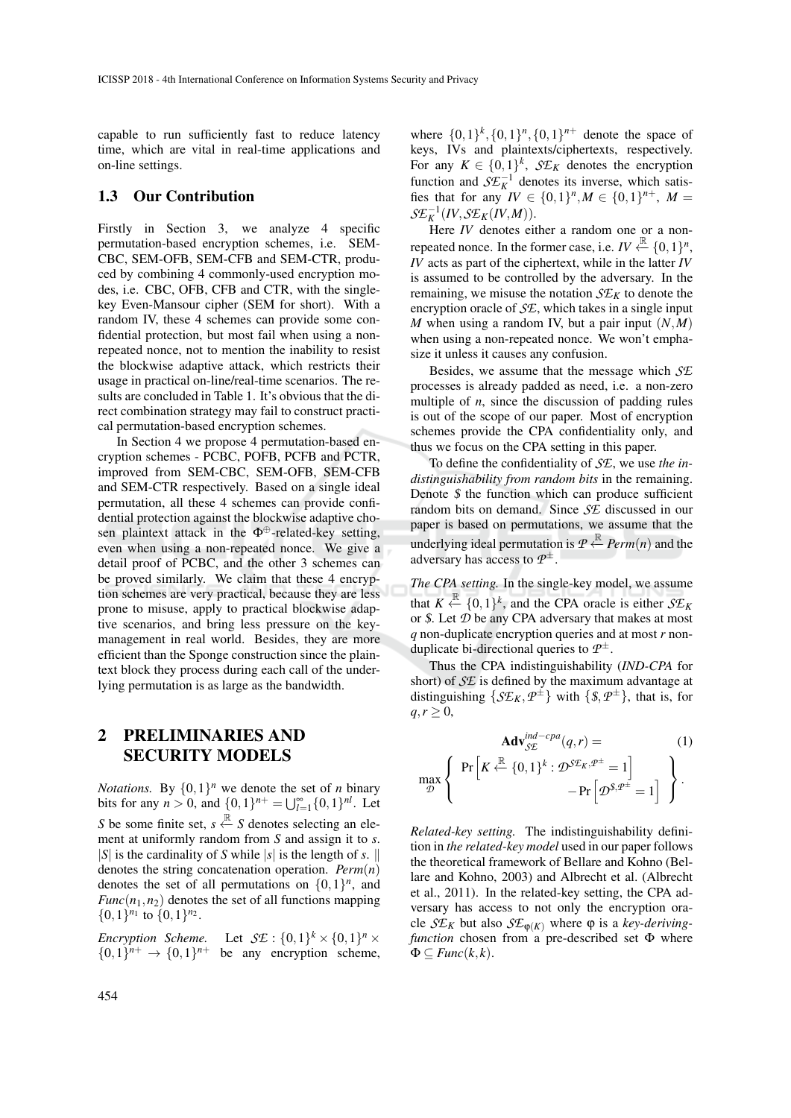capable to run sufficiently fast to reduce latency time, which are vital in real-time applications and on-line settings.

#### 1.3 Our Contribution

Firstly in Section 3, we analyze 4 specific permutation-based encryption schemes, i.e. SEM-CBC, SEM-OFB, SEM-CFB and SEM-CTR, produced by combining 4 commonly-used encryption modes, i.e. CBC, OFB, CFB and CTR, with the singlekey Even-Mansour cipher (SEM for short). With a random IV, these 4 schemes can provide some confidential protection, but most fail when using a nonrepeated nonce, not to mention the inability to resist the blockwise adaptive attack, which restricts their usage in practical on-line/real-time scenarios. The results are concluded in Table 1. It's obvious that the direct combination strategy may fail to construct practical permutation-based encryption schemes.

In Section 4 we propose 4 permutation-based encryption schemes - PCBC, POFB, PCFB and PCTR, improved from SEM-CBC, SEM-OFB, SEM-CFB and SEM-CTR respectively. Based on a single ideal permutation, all these 4 schemes can provide confidential protection against the blockwise adaptive chosen plaintext attack in the  $\Phi^{\oplus}$ -related-key setting, even when using a non-repeated nonce. We give a detail proof of PCBC, and the other 3 schemes can be proved similarly. We claim that these 4 encryption schemes are very practical, because they are less prone to misuse, apply to practical blockwise adaptive scenarios, and bring less pressure on the keymanagement in real world. Besides, they are more efficient than the Sponge construction since the plaintext block they process during each call of the underlying permutation is as large as the bandwidth.

### 2 PRELIMINARIES AND SECURITY MODELS

*Notations.* By  $\{0,1\}^n$  we denote the set of *n* binary bits for any  $n > 0$ , and  $\{0, 1\}^{n+} = \bigcup_{l=1}^{\infty} \{0, 1\}^{nl}$ . Let *S* be some finite set,  $s \stackrel{\mathbb{R}}{\leftarrow} S$  denotes selecting an element at uniformly random from *S* and assign it to *s*.  $|S|$  is the cardinality of *S* while  $|s|$  is the length of *s*. denotes the string concatenation operation. *Perm*(*n*) denotes the set of all permutations on  $\{0,1\}^n$ , and  $Func(n_1, n_2)$  denotes the set of all functions mapping  $\{0,1\}^{n_1}$  to  $\{0,1\}^{n_2}$ .

*Encryption Scheme.*  $\lambda^k \times \{0,1\}^n \times$  $\{0,1\}^{n+} \rightarrow \{0,1\}^{n+}$  be any encryption scheme,

where  $\{0,1\}^k$ ,  $\{0,1\}^n$ ,  $\{0,1\}^{n+}$  denote the space of keys, IVs and plaintexts/ciphertexts, respectively. For any  $K \in \{0, 1\}^k$ ,  $\mathcal{S}E_K$  denotes the encryption function and  $\mathcal{S}\mathcal{E}_K^{-1}$  denotes its inverse, which satisfies that for any  $IV \in \{0,1\}^n, M \in \{0,1\}^{n+}$ ,  $M =$  $\mathcal{S}\mathcal{E}_K^{-1}(IV, \mathcal{S}\mathcal{E}_K(IV, M)).$ 

Here *IV* denotes either a random one or a nonrepeated nonce. In the former case, i.e. *IV*  $\stackrel{\mathbb{R}}{\leftarrow}$  {0,1}<sup>*n*</sup>,  $\overline{IV}$  acts as part of the ciphertext, while in the latter  $\overline{IV}$ is assumed to be controlled by the adversary. In the remaining, we misuse the notation  $\mathcal{S}E_K$  to denote the encryption oracle of *SE*, which takes in a single input *M* when using a random IV, but a pair input (*N*,*M*) when using a non-repeated nonce. We won't emphasize it unless it causes any confusion.

Besides, we assume that the message which *SE* processes is already padded as need, i.e. a non-zero multiple of *n*, since the discussion of padding rules is out of the scope of our paper. Most of encryption schemes provide the CPA confidentiality only, and thus we focus on the CPA setting in this paper.

To define the confidentiality of *SE*, we use *the indistinguishability from random bits* in the remaining. Denote  $\oint$  the function which can produce sufficient random bits on demand. Since *SE* discussed in our paper is based on permutations, we assume that the underlying ideal permutation is  $P \stackrel{R}{\leftarrow} Perm(n)$  and the adversary has access to *P* ±.

*The CPA setting.* In the single-key model, we assume that  $K \stackrel{\mathbb{R}}{\leftarrow} \{0,1\}^k$ , and the CPA oracle is either  $\mathcal{S}\mathcal{E}_k$ or \$. Let *D* be any CPA adversary that makes at most *q* non-duplicate encryption queries and at most *r* nonduplicate bi-directional queries to *P* ±.

Thus the CPA indistinguishability (*IND-CPA* for short) of *SE* is defined by the maximum advantage at distinguishing  $\{\mathcal{S}\mathcal{E}_K, \mathcal{P}^{\pm}\}\$  with  $\{\$,\mathcal{P}^{\pm}\}\$ , that is, for  $q, r \geq 0$ ,

$$
\mathbf{Adv}_{\mathcal{SE}}^{ind-cpa}(q,r) = \text{(1)}
$$
\n
$$
\max_{\mathcal{D}} \left\{ \Pr \left[ K \stackrel{\mathbb{R}}{\leftarrow} \{0,1\}^k : \mathcal{D}^{\mathcal{SE}_K, \mathcal{P}^\pm} = 1 \right] - \Pr \left[ \mathcal{D}^{\mathcal{S}, \mathcal{P}^\pm} = 1 \right] \right\}.
$$

*Related-key setting.* The indistinguishability definition in *the related-key model* used in our paper follows the theoretical framework of Bellare and Kohno (Bellare and Kohno, 2003) and Albrecht et al. (Albrecht et al., 2011). In the related-key setting, the CPA adversary has access to not only the encryption oracle  $\mathcal{S}E_K$  but also  $\mathcal{S}E_{\phi(K)}$  where  $\phi$  is a *key-derivingfunction* chosen from a pre-described set Φ where  $\Phi \subset \text{Func}(k, k).$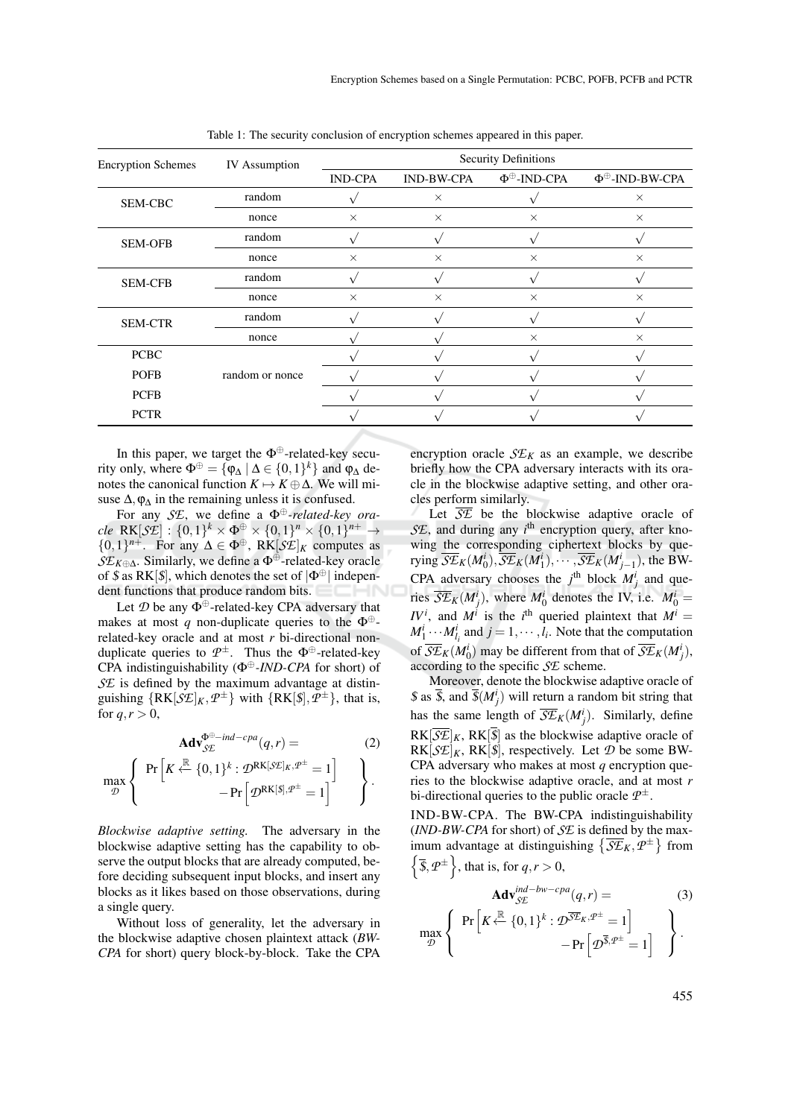| <b>Encryption Schemes</b> | <b>IV</b> Assumption | <b>Security Definitions</b> |                   |                         |                            |
|---------------------------|----------------------|-----------------------------|-------------------|-------------------------|----------------------------|
|                           |                      | <b>IND-CPA</b>              | <b>IND-BW-CPA</b> | Ф <sup>⊕</sup> -IND-CPA | Ф <sup>⊕</sup> -IND-BW-CPA |
| SEM-CBC                   | random               |                             | $\times$          |                         | $\times$                   |
|                           | nonce                | $\times$                    | $\times$          | $\times$                | $\times$                   |
| <b>SEM-OFB</b>            | random               |                             |                   |                         |                            |
|                           | nonce                | $\times$                    | $\times$          | $\times$                | $\times$                   |
| <b>SEM-CFB</b>            | random               |                             |                   |                         |                            |
|                           | nonce                | $\times$                    | $\times$          | $\times$                | $\times$                   |
| <b>SEM-CTR</b>            | random               |                             |                   |                         |                            |
|                           | nonce                |                             |                   | $\times$                | $\times$                   |
| <b>PCBC</b>               |                      |                             |                   |                         |                            |
| <b>POFB</b>               | random or nonce      |                             |                   |                         |                            |
| <b>PCFB</b>               |                      |                             |                   |                         |                            |
| <b>PCTR</b>               |                      |                             |                   |                         |                            |

Table 1: The security conclusion of encryption schemes appeared in this paper.

In this paper, we target the  $\Phi^{\oplus}$ -related-key security only, where  $\Phi^{\oplus} = {\phi_{\Delta} | \Delta \in \{0,1\}^k}$  and  $\phi_{\Delta}$  denotes the canonical function  $K \mapsto K \oplus \Delta$ . We will misuse  $\Delta$ ,  $\varphi_{\Delta}$  in the remaining unless it is confused.

For any *SE*, we define a Φ⊕*-related-key ora* $cle \ \mathsf{RK}[\mathcal{S}\mathcal{E}] : \{0,1\}^k \times \Phi^{\oplus} \times \{0,1\}^n \times \{0,1\}^{n+} \rightarrow$  ${0,1}^{n+}$ . For any  $\Delta \in \Phi^{\oplus}$ , RK[*SE*]<sub>*K*</sub> computes as *SE<sup>K</sup>*⊕∆. Similarly, we define a Φ⊕-related-key oracle of \$ as RK[\$], which denotes the set of  $|\Phi^{\oplus}|$  independent functions that produce random bits.

Let  $\mathcal D$  be any  $\Phi^{\oplus}$ -related-key CPA adversary that makes at most *q* non-duplicate queries to the  $\Phi^{\oplus}$ related-key oracle and at most *r* bi-directional nonduplicate queries to  $\mathcal{P}^{\pm}$ . Thus the  $\Phi^{\oplus}$ -related-key CPA indistinguishability (Φ⊕*-IND-CPA* for short) of *SE* is defined by the maximum advantage at distinguishing  $\{RK[\mathcal{S}E]_K, \mathcal{P}^{\pm}\}\$  with  $\{RK[\mathcal{S}], \mathcal{P}^{\pm}\}\$ , that is, for  $q, r > 0$ ,

$$
\mathbf{Adv}_{\mathcal{SE}}^{\Phi^{\oplus -ind-cpa}}(q, r) = \tag{2}
$$

$$
\max_{\mathcal{D}} \left\{ \begin{array}{c} \Pr\left[K \stackrel{\mathbb{R}}{\leftarrow} \{0,1\}^k : \mathcal{D}^\mathrm{RK[\mathcal{S}\mathcal{E}]_K, \mathcal{P}^\pm = 1 \right] \\ -\Pr\left[\mathcal{D}^\mathrm{RK[\mathcal{S}], \mathcal{P}^\pm = 1} \right] \end{array} \right\}.
$$

*Blockwise adaptive setting.* The adversary in the blockwise adaptive setting has the capability to observe the output blocks that are already computed, before deciding subsequent input blocks, and insert any blocks as it likes based on those observations, during a single query.

Without loss of generality, let the adversary in the blockwise adaptive chosen plaintext attack (*BW-CPA* for short) query block-by-block. Take the CPA

encryption oracle  $\mathcal{S}E_K$  as an example, we describe briefly how the CPA adversary interacts with its oracle in the blockwise adaptive setting, and other oracles perform similarly.

Let  $\overline{SE}$  be the blockwise adaptive oracle of SE, and during any *i*<sup>th</sup> encryption query, after knowing the corresponding ciphertext blocks by querying  $\overline{\mathcal{S}E}_K(M_0^i), \overline{\mathcal{S}E}_K(M_1^i), \cdots, \overline{\mathcal{S}E}_K(M_{j-1}^i)$ , the BW-CPA adversary chooses the  $j^{\text{th}}$  block  $M_j^i$  and queries  $\overline{SE}_K(M^i_j)$ , where  $M^i_0$  denotes the IV, i.e.  $M^i_0 =$ *IV<sup><i>i*</sup>, and *M<sup><i>i*</sup> is the *i*<sup>th</sup> queried plaintext that  $M^i =$  $M_1^i \cdots M_{l_i}^i$  and  $j = 1, \cdots, l_i$ . Note that the computation of  $\overline{\mathcal{S}\mathcal{E}}_K(M_0^i)$  may be different from that of  $\overline{\mathcal{S}\mathcal{E}}_K(M_j^i)$ , according to the specific *SE* scheme.

Moreover, denote the blockwise adaptive oracle of  $\oint$  as  $\overline{\oint}$ , and  $\overline{\oint}$   $(M^i_j)$  will return a random bit string that has the same length of  $\overline{\mathcal{S}\mathcal{E}}_K(M^i_j)$ . Similarly, define  $RK[\overline{S}E]_K$ ,  $RK[\overline{S}]$  as the blockwise adaptive oracle of  $RK[\mathcal{S}\mathcal{E}]_K$ ,  $RK[\mathcal{S}]$ , respectively. Let  $\mathcal{D}$  be some BW-CPA adversary who makes at most *q* encryption queries to the blockwise adaptive oracle, and at most *r* bi-directional queries to the public oracle  $\mathcal{P}^{\pm}$ .

IND-BW-CPA. The BW-CPA indistinguishability (*IND-BW-CPA* for short) of *SE* is defined by the maximum advantage at distinguishing  $\{\overline{SE}_K, P^{\pm}\}\$  from  $\left\{\overline{\$}, \mathcal{P}^{\pm}\right\}$ , that is, for  $q, r > 0$ ,

max *D*

 $\mathbf{I}$ 

$$
\mathbf{Adv}_{\mathcal{SE}}^{ind-bw-cpa}(q,r) = \n\left\{\n\begin{array}{l}\n\Pr\left[K \stackrel{\mathbb{R}}{\leftarrow} \{0,1\}^k : \mathcal{D}^{\overline{\mathcal{SE}}_K, \mathcal{P}^\pm} = 1\right] \\
-\Pr\left[\mathcal{D}^{\overline{\mathcal{S}}, \mathcal{P}^\pm} = 1\right]\n\end{array}\n\right\}.
$$
\n(3)

 $\frac{1}{2}$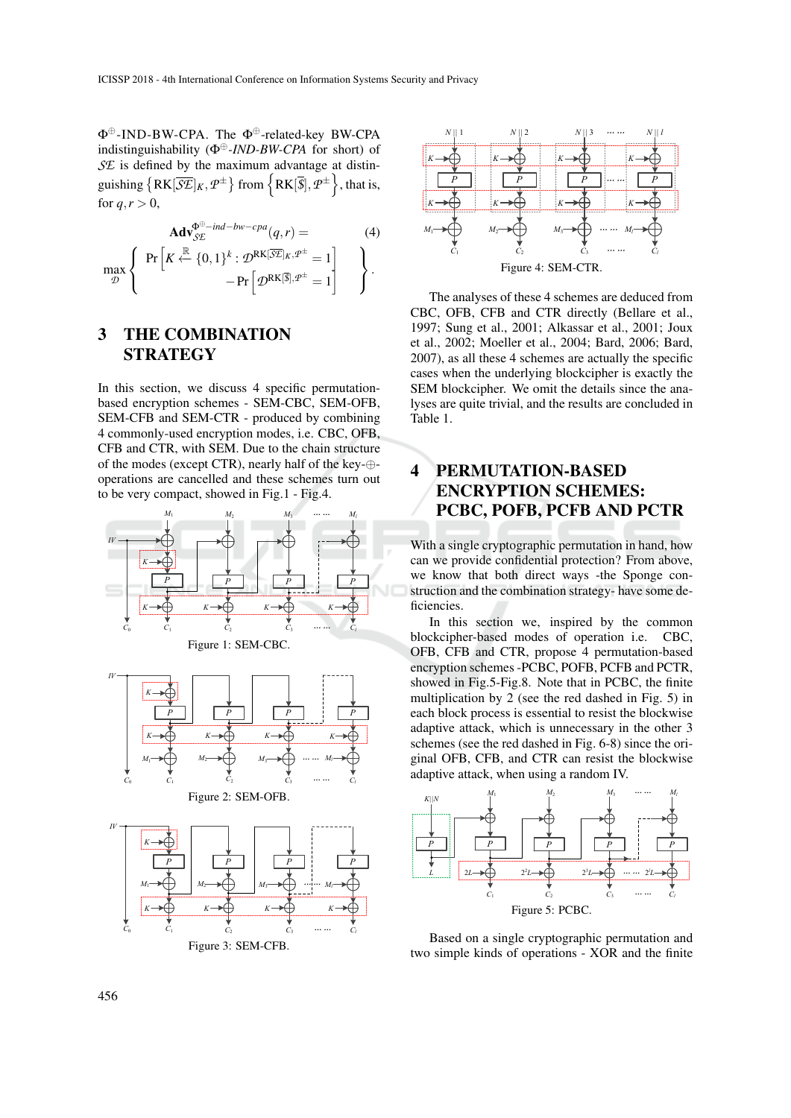Φ⊕-IND-BW-CPA. The Φ⊕-related-key BW-CPA indistinguishability (Φ⊕*-IND-BW-CPA* for short) of *SE* is defined by the maximum advantage at distinguishing  $\left\{ RK[\overline{\mathcal{S}\mathcal{E}}]_K, \mathcal{P}^\pm \right\}$  from  $\left\{ RK[\overline{\mathcal{S}}], \mathcal{P}^\pm \right\}$ , that is, for  $q, r > 0$ ,

$$
\mathbf{Adv}_{\mathcal{SE}}^{\Phi^{\oplus - ind - bw - cpa}(q, r) = \text{ (4)}
$$
\n
$$
\max_{\mathcal{D}} \left\{ \begin{array}{c} \Pr \left[ K \stackrel{\mathbb{R}}{\leftarrow} \{0, 1\}^k : \mathcal{D}^{\text{RK}[\overline{\mathcal{SE}}]_K, \mathcal{P}^{\pm} = 1 \right] \\ -\Pr \left[ \mathcal{D}^{\text{RK}[\overline{\mathcal{S}}], \mathcal{P}^{\pm} = 1} \right] \end{array} \right\}.
$$

### 3 THE COMBINATION **STRATEGY**

In this section, we discuss 4 specific permutationbased encryption schemes - SEM-CBC, SEM-OFB, SEM-CFB and SEM-CTR - produced by combining 4 commonly-used encryption modes, i.e. CBC, OFB, CFB and CTR, with SEM. Due to the chain structure of the modes (except CTR), nearly half of the key-⊕ operations are cancelled and these schemes turn out to be very compact, showed in Fig.1 - Fig.4.





The analyses of these 4 schemes are deduced from CBC, OFB, CFB and CTR directly (Bellare et al., 1997; Sung et al., 2001; Alkassar et al., 2001; Joux et al., 2002; Moeller et al., 2004; Bard, 2006; Bard, 2007), as all these 4 schemes are actually the specific cases when the underlying blockcipher is exactly the SEM blockcipher. We omit the details since the analyses are quite trivial, and the results are concluded in Table 1.

### 4 PERMUTATION-BASED ENCRYPTION SCHEMES: PCBC, POFB, PCFB AND PCTR

With a single cryptographic permutation in hand, how can we provide confidential protection? From above, we know that both direct ways -the Sponge construction and the combination strategy- have some deficiencies.

In this section we, inspired by the common blockcipher-based modes of operation i.e. CBC, OFB, CFB and CTR, propose 4 permutation-based encryption schemes -PCBC, POFB, PCFB and PCTR, showed in Fig.5-Fig.8. Note that in PCBC, the finite multiplication by 2 (see the red dashed in Fig. 5) in each block process is essential to resist the blockwise adaptive attack, which is unnecessary in the other 3 schemes (see the red dashed in Fig. 6-8) since the original OFB, CFB, and CTR can resist the blockwise adaptive attack, when using a random IV.



Based on a single cryptographic permutation and two simple kinds of operations - XOR and the finite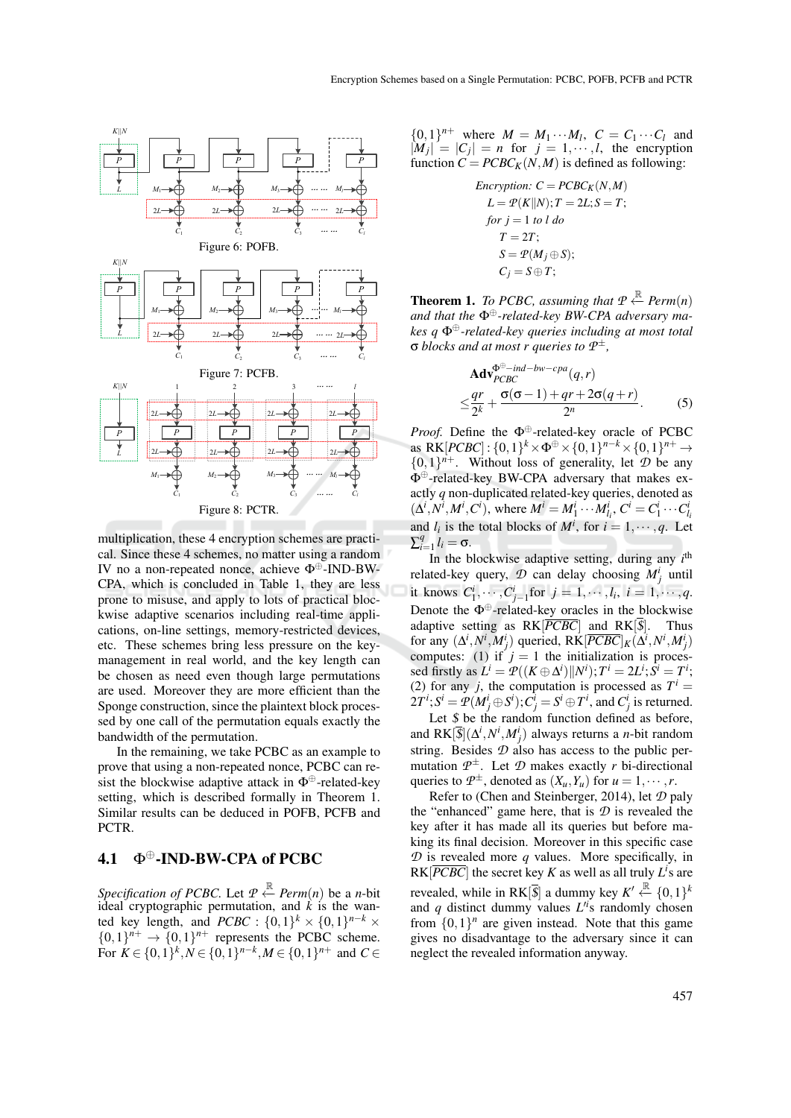

multiplication, these 4 encryption schemes are practical. Since these 4 schemes, no matter using a random IV no a non-repeated nonce, achieve Φ⊕-IND-BW-CPA, which is concluded in Table 1, they are less prone to misuse, and apply to lots of practical blockwise adaptive scenarios including real-time applications, on-line settings, memory-restricted devices, etc. These schemes bring less pressure on the keymanagement in real world, and the key length can be chosen as need even though large permutations are used. Moreover they are more efficient than the Sponge construction, since the plaintext block processed by one call of the permutation equals exactly the bandwidth of the permutation.

In the remaining, we take PCBC as an example to prove that using a non-repeated nonce, PCBC can resist the blockwise adaptive attack in  $\Phi^{\oplus}$ -related-key setting, which is described formally in Theorem 1. Similar results can be deduced in POFB, PCFB and PCTR.

### 4.1 Φ<sup>⊕</sup>-IND-BW-CPA of PCBC

Specification of PCBC. Let  $P \xleftarrow{\mathbb{R}} Perm(n)$  be a *n*-bit ideal cryptographic permutation, and  $\hat{k}$  is the wanted key length, and *PCBC* :  $\{0,1\}^k \times \{0,1\}^{n-k} \times$  $\{0,1\}^{n+} \rightarrow \{0,1\}^{n+}$  represents the PCBC scheme. For  $K \in \{0, 1\}^k, N \in \{0, 1\}^{n-k}, M \in \{0, 1\}^{n+}$  and  $C \in$   $\{0,1\}^{n+}$  where  $M = M_1 \cdots M_l$ ,  $C = C_1 \cdots C_l$  and  $|M_j| = |C_j| = n$  for  $j = 1, \dots, l$ , the encryption function  $C = PCBC<sub>K</sub>(N, M)$  is defined as following:

$$
Encryption: C = PCB C_K(N,M)
$$
  
\n
$$
L = \mathcal{P}(K||N); T = 2L; S = T;
$$
  
\nfor  $j = 1$  to  $l$  do  
\n $T = 2T;$   
\n $S = \mathcal{P}(M_j \oplus S);$   
\n $C_j = S \oplus T;$ 

**Theorem 1.** *To PCBC, assuming that*  $P \xleftarrow{\mathbb{R}} Perm(n)$ *and that the* Φ⊕*-related-key BW-CPA adversary makes q* Φ⊕*-related-key queries including at most total* σ *blocks and at most r queries to P* ±*,*

$$
\mathbf{Adv}_{PCBC}^{\Phi^{\oplus -ind-bw-cpa}(q,r)}\leq \frac{qr}{2^k} + \frac{\sigma(\sigma-1) + qr + 2\sigma(q+r)}{2^n}.
$$
 (5)

*Proof.* Define the  $\Phi^{\oplus}$ -related-key oracle of PCBC as  $RK[PCBC]$ :  $\{0,1\}^k \times \Phi^{\oplus} \times \{0,1\}^{n-k} \times \{0,1\}^{n+} \rightarrow$  ${0,1}^{n+}$ . Without loss of generality, let  $D$  be any Φ⊕-related-key BW-CPA adversary that makes exactly *q* non-duplicated related-key queries, denoted as  $(\Delta^i, N^i, M^i, C^i)$ , where  $M^i = M_1^i \cdots M_{l_i}^i$ ,  $C^i = C_1^i \cdots C_{l_i}^i$ and  $l_i$  is the total blocks of  $M^i$ , for  $i = 1, \dots, q$ . Let  $\sum_{i=1}^{q}$  $l_{i=1}^{q} l_{i} = \sigma.$ 

In the blockwise adaptive setting, during any  $i<sup>th</sup>$ related-key query,  $\mathcal{D}$  can delay choosing  $M_j^i$  until it knows  $C_1^i, \dots, C_{j-1}^i$  for  $j = 1, \dots, l_i, i = 1, \dots, q$ . Denote the  $\Phi^{\oplus}$ -related-key oracles in the blockwise adaptive setting as  $RK[\overline{PCBC}]$  and  $RK[\overline{S}]$ . Thus for any  $(\Delta^i, N^i, M^i_j)$  queried,  $R\tilde{K}[P\overline{CBC}]_K(\Delta^i, N^i, M^i_j)$ computes: (1) if  $j = 1$  the initialization is processed firstly as  $L^i = \mathcal{P}((K \oplus \Delta^i) \Vert N^i); T^i = 2L^i; S^i = T^i;$ (2) for any *j*, the computation is processed as  $T^i$  =  $2T^i$ ;  $S^i = \mathcal{P}(M^i_j \oplus S^i)$ ;  $C^i_j = S^i \oplus T^i$ , and  $C^i_j$  is returned.

Let  $$$  be the random function defined as before, and  $RK[\overline{\mathcal{S}}](\Delta^i, N^i, M^i_j)$  always returns a *n*-bit random string. Besides  $D$  also has access to the public permutation  $\mathcal{P}^{\pm}$ . Let  $\mathcal{D}$  makes exactly *r* bi-directional queries to  $\mathcal{P}^{\pm}$ , denoted as  $(X_u, Y_u)$  for  $u = 1, \dots, r$ .

Refer to (Chen and Steinberger, 2014), let *D* paly the "enhanced" game here, that is  $D$  is revealed the key after it has made all its queries but before making its final decision. Moreover in this specific case  $D$  is revealed more  $q$  values. More specifically, in  $RK[\overline{PCBC}]$  the secret key *K* as well as all truly  $L^i$ s are revealed, while in RK<sup>[ $\overline{\$$ ] a dummy key  $K' \stackrel{\mathbb{R}}{\leftarrow} \{0,1\}^k$ </sup> and  $q$  distinct dummy values  $L^{i}$ s randomly chosen from  $\{0,1\}$ <sup>*n*</sup> are given instead. Note that this game gives no disadvantage to the adversary since it can neglect the revealed information anyway.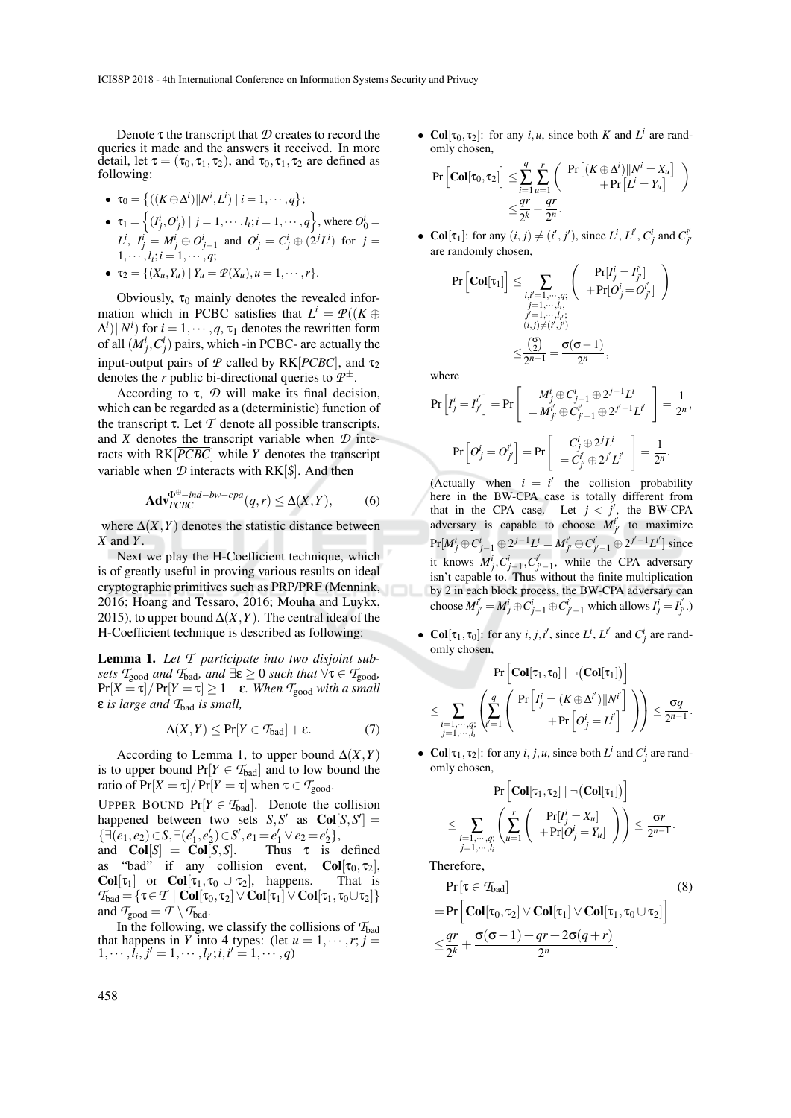Denote τ the transcript that *D* creates to record the queries it made and the answers it received. In more detail, let  $\tau = (\tau_0, \tau_1, \tau_2)$ , and  $\tau_0, \tau_1, \tau_2$  are defined as following:

• 
$$
\tau_0 = \{ ((K \oplus \Delta^i) || N^i, L^i) | i = 1, \dots, q \};
$$

- $\tau_1 = \left\{ (I_j^i, O_j^i) \mid j = 1, \dots, l_i; i = 1, \dots, q \right\}$ , where  $O_0^i$  $L^i$ ,  $I^i_j = M^i_j \oplus O^i_{j-1}$  and  $O^i_j = C^i_j \oplus (2^j L^i)$  for  $j =$  $1, \cdots, l_i; i = 1, \cdots, q;$
- $\bullet \quad \tau_2 = \{ (X_u, Y_u) \mid Y_u = \mathcal{P}(X_u), u = 1, \cdots, r \}.$

Obviously,  $\tau_0$  mainly denotes the revealed information which in PCBC satisfies that  $L^i = \mathcal{P}((K \oplus$  $\Delta^i$ ||*N<sup>i</sup>*) for  $i = 1, \dots, q, \tau_1$  denotes the rewritten form of all  $(M_j^i, C_j^i)$  pairs, which -in PCBC- are actually the input-output pairs of *P* called by  $RK[\overline{PCBC}]$ , and  $\tau_2$ denotes the *r* public bi-directional queries to *P* ±.

According to  $\tau$ ,  $\mathcal{D}$  will make its final decision, which can be regarded as a (deterministic) function of the transcript  $\tau$ . Let  $\mathcal T$  denote all possible transcripts, and *X* denotes the transcript variable when *D* interacts with RK[*PCBC*] while *Y* denotes the transcript variable when  $D$  interacts with  $RK[\overline{s}]$ . And then

$$
\mathbf{Adv}_{PCBC}^{\Phi^{\oplus}-ind-bw-cpa}(q,r) \leq \Delta(X,Y),\tag{6}
$$

where  $\Delta(X, Y)$  denotes the statistic distance between *X* and *Y*.

Next we play the H-Coefficient technique, which is of greatly useful in proving various results on ideal cryptographic primitives such as PRP/PRF (Mennink, 2016; Hoang and Tessaro, 2016; Mouha and Luykx, 2015), to upper bound  $\Delta(X, Y)$ . The central idea of the H-Coefficient technique is described as following:

Lemma 1. *Let T participate into two disjoint subsets*  $\mathcal{T}_{good}$  *and*  $\mathcal{T}_{bad}$ *, and*  $\exists \varepsilon \geq 0$  *such that*  $\forall \tau \in \mathcal{T}_{good}$ *,*  $Pr[X = \tau] / Pr[Y = \tau] \ge 1 - \varepsilon$ *. When*  $T_{good}$  *with a small* ε *is large and T*bad *is small,*

$$
\Delta(X,Y) \le \Pr[Y \in \mathcal{T}_{bad}] + \varepsilon. \tag{7}
$$

According to Lemma 1, to upper bound  $\Delta(X, Y)$ is to upper bound  $Pr[Y \in T_{bad}]$  and to low bound the ratio of  $Pr[X = \tau] / Pr[Y = \tau]$  when  $\tau \in \mathcal{T}_{good}$ .

UPPER BOUND  $Pr[Y \in T_{bad}]$ . Denote the collision happened between two sets  $S, S'$  as  $Col[S, S'] =$  $\{\exists (e_1, e_2) \in S, \exists (e'_1, e'_2) \in S', e_1 = e'_1 \vee e_2 = e'_2\},\$ and  $Col[S] = Col[S, S]$ . Thus  $\tau$  is defined as "bad" if any collision event,  $Col[\tau_0, \tau_2]$ , Col[ $\tau_1$ ] or Col[ $\tau_1, \tau_0 \cup \tau_2$ ], happens. That is  $\mathcal{T}_{bad} = {\tau \in \mathcal{T} \mid \mathbf{Col}[\tau_0, \tau_2] \vee \mathbf{Col}[\tau_1] \vee \mathbf{Col}[\tau_1, \tau_0 \cup \tau_2]}$ and  $\mathcal{T}_{good} = \mathcal{T} \setminus \mathcal{T}_{bad}$ .

In the following, we classify the collisions of  $T_{bad}$ that happens in *Y* into 4 types: (let  $u = 1, \dots, r; j =$  $1, \dots, l_i, j' = 1, \dots, l_{i'}; i, i' = 1, \dots, q$ 

• Col[ $\tau_0, \tau_2$ ]: for any *i*, *u*, since both *K* and *L*<sup>*i*</sup> are randomly chosen,

$$
\Pr\left[\mathbf{Col}[\tau_0, \tau_2]\right] \leq \sum_{i=1}^q \sum_{u=1}^r \left(\begin{array}{c} \Pr\left[(K \oplus \Delta^i) || N^i = X_u\right] \\ + \Pr\left[L^i = Y_u\right] \end{array}\right) \\ \leq \frac{qr}{2^k} + \frac{qr}{2^n}.
$$

• Col[ $\tau_1$ ]: for any  $(i, j) \neq (i', j')$ , since  $L^i, L^{i'}, C^i_j$  and  $C^{i'}_{j'}$ are randomly chosen,

$$
\Pr\left[\mathbf{Col}[\tau_1]\right] \leq \sum_{\substack{i,i'=1,\cdots,q; \\ j=1,\cdots,l_i; \\ (i,j)\neq (i',j') \\ \leq \frac{(\mathfrak{D})}{2^{n-1}}} \left(\begin{array}{c} \Pr[I_j^i = I_{j'}^i] \\ + \Pr[O_j^i = O_{j'}^i] \\ \end{array}\right) \\ \leq \frac{(\mathfrak{D})}{2^{n-1}} = \frac{\sigma(\sigma-1)}{2^n},
$$

where

$$
\Pr\left[I_j^i = I_{j'}^{i'}\right] = \Pr\left[\begin{array}{c} M_j^i \oplus C_{j-1}^i \oplus 2^{j-1} L^i \\ = M_{j'}^i \oplus C_{j'-1}^i \oplus 2^{j'-1} L^{i'} \end{array}\right] = \frac{1}{2^n},
$$
\n
$$
\Pr\left[O_j^i = O_{j'}^{i'}\right] = \Pr\left[\begin{array}{c} C_j^i \oplus 2^j L^i \\ = C_{j'}^i \oplus 2^{j'} L^{i'} \end{array}\right] = \frac{1}{2^n}.
$$

(Actually when  $i = i'$  the collision probability here in the BW-CPA case is totally different from that in the CPA case. Let  $j < j'$ , the BW-CPA adversary is capable to choose  $M^{i'}_{j'}$  to maximize  $Pr[M_j^i \oplus C_{j-1}^i \oplus 2^{j-1}L^i = M_{j'}^{i'} \oplus C_{j'-1}^{i'} \oplus 2^{j'-1}L^{i'}]$  since it knows  $M^i_j, C^i_{j-1}, C^{i'}_{j'-1}$ , while the CPA adversary isn't capable to. Thus without the finite multiplication by 2 in each block process, the BW-CPA adversary can choose  $M^{i'}_{j'} = M^i_j \oplus C^i_{j-1} \oplus C^{i'}_{j'-1}$  which allows  $I^i_j = I^{i'}_{j'}$ .)

• Col[ $\tau_1$ ,  $\tau_0$ ]: for any *i*, *j*,*i'*, since *L<sup>i</sup>*, *Li'* and *C<sub>j</sub>* are randomly chosen,

$$
\Pr\left[\mathbf{Col}[\tau_1, \tau_0] \mid \neg\left(\mathbf{Col}[\tau_1]\right)\right] \\ \leq \sum_{\substack{i=1,\cdots,q; \\ j=1,\cdots,l_i}} \left(\sum_{i'=1}^q \left(\frac{\Pr\left[I^i_j = (K \oplus \Delta^{i'}) \|N^{i'}\right]}{+ \Pr\left[O^i_j = L^{i'}\right]}\right)\right) \leq \frac{\sigma q}{2^{n-1}}.
$$

• Col[ $\tau_1$ ,  $\tau_2$ ]: for any *i*, *j*, *u*, since both *L*<sup>*i*</sup> and *C*<sup>*i*</sup><sub>*j*</sub> are randomly chosen,

$$
\Pr\left[\mathbf{Col}[\tau_1, \tau_2] \mid \neg\left(\mathbf{Col}[\tau_1]\right)\right] \\ \leq \sum_{\substack{i=1,\cdots,q; \\ j=1,\cdots,l_i}} \left(\sum_{u=1}^r \left(\begin{array}{c} \Pr[I_j^i = X_u] \\ + \Pr[O_j^i = Y_u] \end{array}\right)\right) \leq \frac{\sigma r}{2^{n-1}}.
$$

Therefore,

$$
\Pr[\tau \in \mathcal{T}_{bad}]
$$
\n
$$
= \Pr\left[\mathbf{Col}[\tau_0, \tau_2] \vee \mathbf{Col}[\tau_1] \vee \mathbf{Col}[\tau_1, \tau_0 \cup \tau_2]\right]
$$
\n
$$
\leq \frac{qr}{2^k} + \frac{\sigma(\sigma - 1) + qr + 2\sigma(q + r)}{2^n}.
$$
\n(8)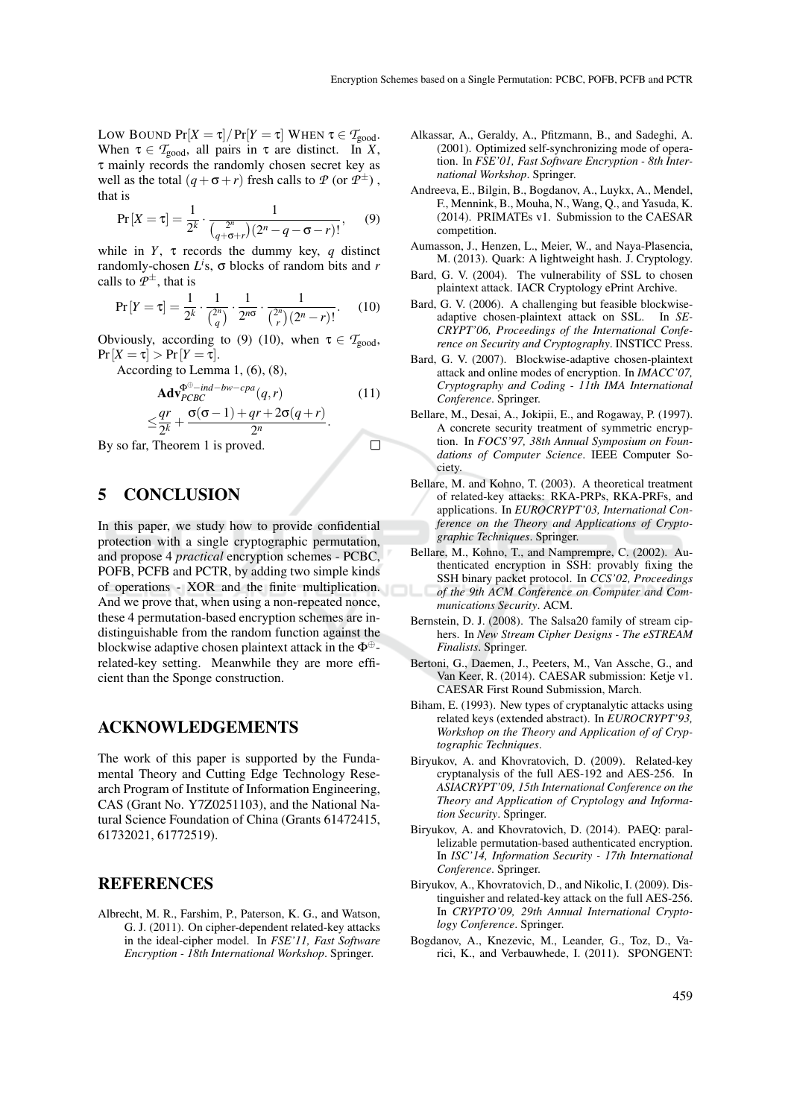LOW BOUND  $Pr[X = \tau] / Pr[Y = \tau]$  WHEN  $\tau \in T_{good}$ . When  $\tau \in \mathcal{T}_{\text{good}}$ , all pairs in  $\tau$  are distinct. In *X*, τ mainly records the randomly chosen secret key as well as the total  $(q + \sigma + r)$  fresh calls to  $P$  (or  $P^{\pm}$ ), that is

$$
\Pr[X=\tau] = \frac{1}{2^k} \cdot \frac{1}{\binom{2^n}{q+\sigma+r}(2^n-q-\sigma-r)!},\qquad(9)
$$

while in *Y*,  $\tau$  records the dummy key, *q* distinct randomly-chosen *L i* s, σ blocks of random bits and *r* calls to  $\mathcal{P}^{\pm}$ , that is

$$
\Pr[Y=\tau] = \frac{1}{2^k} \cdot \frac{1}{\binom{2^n}{q}} \cdot \frac{1}{2^{n\sigma}} \cdot \frac{1}{\binom{2^n}{r}(2^n-r)!}.
$$
 (10)

Obviously, according to (9) (10), when  $\tau \in \mathcal{T}_{good}$ ,  $Pr[X = \tau] > Pr[Y = \tau].$ 

According to Lemma 1, (6), (8),

$$
\begin{array}{ll}\n\mathbf{Adv}_{PCBC}^{\Phi^{\oplus}-ind-bw-cpa}(q,r) & (11) \\
\leq \frac{qr}{2^k} + \frac{\sigma(\sigma-1) + qr + 2\sigma(q+r)}{2^n}.\n\end{array}
$$
\nTheorem 1 is proved.

By so far, Theorem 1 is proved.

### 5 CONCLUSION

In this paper, we study how to provide confidential protection with a single cryptographic permutation, and propose 4 *practical* encryption schemes - PCBC, POFB, PCFB and PCTR, by adding two simple kinds of operations - XOR and the finite multiplication. And we prove that, when using a non-repeated nonce, these 4 permutation-based encryption schemes are indistinguishable from the random function against the blockwise adaptive chosen plaintext attack in the  $\Phi^{\oplus}$ related-key setting. Meanwhile they are more efficient than the Sponge construction.

#### ACKNOWLEDGEMENTS

The work of this paper is supported by the Fundamental Theory and Cutting Edge Technology Research Program of Institute of Information Engineering, CAS (Grant No. Y7Z0251103), and the National Natural Science Foundation of China (Grants 61472415, 61732021, 61772519).

### **REFERENCES**

Albrecht, M. R., Farshim, P., Paterson, K. G., and Watson, G. J. (2011). On cipher-dependent related-key attacks in the ideal-cipher model. In *FSE'11, Fast Software Encryption - 18th International Workshop*. Springer.

- Alkassar, A., Geraldy, A., Pfitzmann, B., and Sadeghi, A. (2001). Optimized self-synchronizing mode of operation. In *FSE'01, Fast Software Encryption - 8th International Workshop*. Springer.
- Andreeva, E., Bilgin, B., Bogdanov, A., Luykx, A., Mendel, F., Mennink, B., Mouha, N., Wang, Q., and Yasuda, K. (2014). PRIMATEs v1. Submission to the CAESAR competition.
- Aumasson, J., Henzen, L., Meier, W., and Naya-Plasencia, M. (2013). Quark: A lightweight hash. J. Cryptology.
- Bard, G. V. (2004). The vulnerability of SSL to chosen plaintext attack. IACR Cryptology ePrint Archive.
- Bard, G. V. (2006). A challenging but feasible blockwiseadaptive chosen-plaintext attack on SSL. In *SE-CRYPT'06, Proceedings of the International Conference on Security and Cryptography*. INSTICC Press.
- Bard, G. V. (2007). Blockwise-adaptive chosen-plaintext attack and online modes of encryption. In *IMACC'07, Cryptography and Coding - 11th IMA International Conference*. Springer.
- Bellare, M., Desai, A., Jokipii, E., and Rogaway, P. (1997). A concrete security treatment of symmetric encryption. In *FOCS'97, 38th Annual Symposium on Foundations of Computer Science*. IEEE Computer Society.
- Bellare, M. and Kohno, T. (2003). A theoretical treatment of related-key attacks: RKA-PRPs, RKA-PRFs, and applications. In *EUROCRYPT'03, International Conference on the Theory and Applications of Cryptographic Techniques*. Springer.
- Bellare, M., Kohno, T., and Namprempre, C. (2002). Authenticated encryption in SSH: provably fixing the SSH binary packet protocol. In *CCS'02, Proceedings of the 9th ACM Conference on Computer and Communications Security*. ACM.
- Bernstein, D. J. (2008). The Salsa20 family of stream ciphers. In *New Stream Cipher Designs - The eSTREAM Finalists*. Springer.
- Bertoni, G., Daemen, J., Peeters, M., Van Assche, G., and Van Keer, R. (2014). CAESAR submission: Ketje v1. CAESAR First Round Submission, March.
- Biham, E. (1993). New types of cryptanalytic attacks using related keys (extended abstract). In *EUROCRYPT'93, Workshop on the Theory and Application of of Cryptographic Techniques*.
- Biryukov, A. and Khovratovich, D. (2009). Related-key cryptanalysis of the full AES-192 and AES-256. In *ASIACRYPT'09, 15th International Conference on the Theory and Application of Cryptology and Information Security*. Springer.
- Biryukov, A. and Khovratovich, D. (2014). PAEQ: parallelizable permutation-based authenticated encryption. In *ISC'14, Information Security - 17th International Conference*. Springer.
- Biryukov, A., Khovratovich, D., and Nikolic, I. (2009). Distinguisher and related-key attack on the full AES-256. In *CRYPTO'09, 29th Annual International Cryptology Conference*. Springer.
- Bogdanov, A., Knezevic, M., Leander, G., Toz, D., Varici, K., and Verbauwhede, I. (2011). SPONGENT: